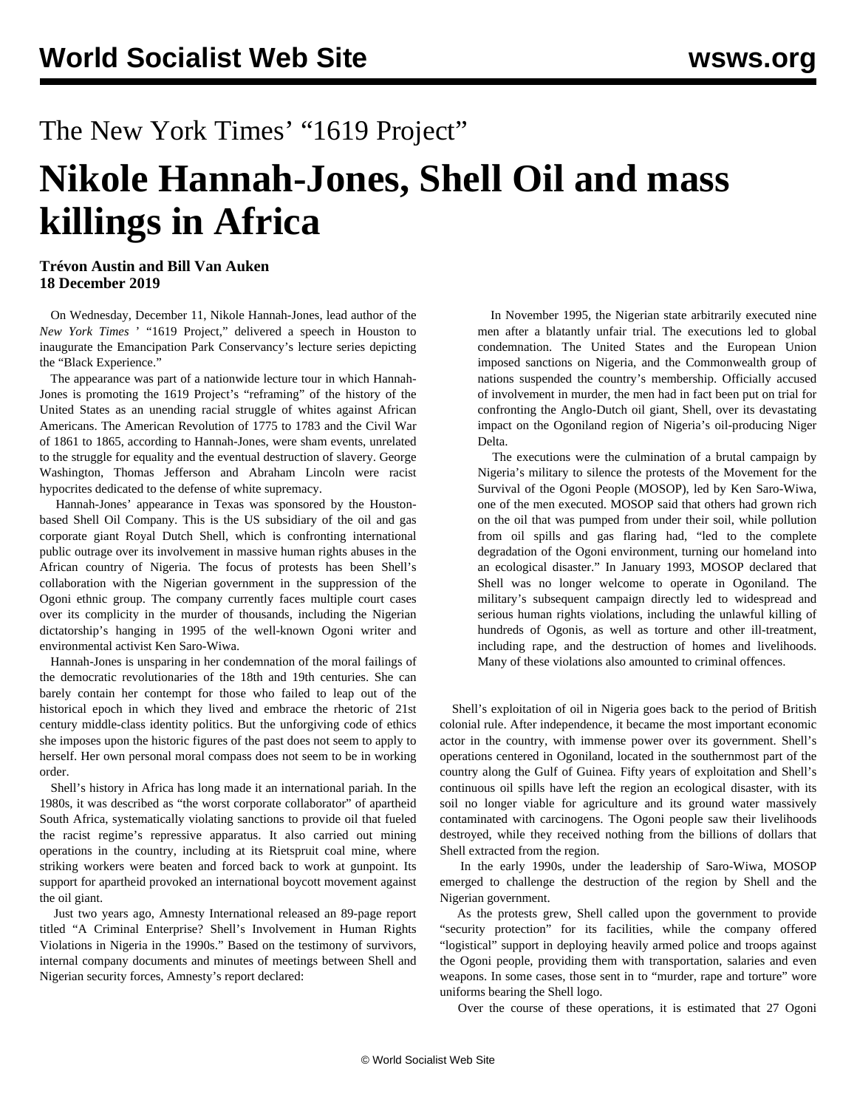## The New York Times' "1619 Project"

## **Nikole Hannah-Jones, Shell Oil and mass killings in Africa**

## **Trévon Austin and Bill Van Auken 18 December 2019**

 On Wednesday, December 11, Nikole Hannah-Jones, lead author of the *New York Times* ' "1619 Project," delivered a speech in Houston to inaugurate the Emancipation Park Conservancy's lecture series depicting the "Black Experience."

 The appearance was part of a nationwide lecture tour in which Hannah-Jones is promoting the 1619 Project's "reframing" of the history of the United States as an unending racial struggle of whites against African Americans. The American Revolution of 1775 to 1783 and the Civil War of 1861 to 1865, according to Hannah-Jones, were sham events, unrelated to the struggle for equality and the eventual destruction of slavery. George Washington, Thomas Jefferson and Abraham Lincoln were racist hypocrites dedicated to the defense of white supremacy.

 Hannah-Jones' [appearance in Texas](https://emancipationparkconservancy.salsalabs.org/ecnhj/index.html) was sponsored by the Houstonbased Shell Oil Company. This is the US subsidiary of the oil and gas corporate giant Royal Dutch Shell, which is confronting international public outrage over its involvement in massive human rights abuses in the African country of Nigeria. The focus of protests has been Shell's collaboration with the Nigerian government in the suppression of the [Ogoni ethnic group.](https://en.wikipedia.org/wiki/Ogoni_people) The company currently faces multiple court cases over its complicity in the murder of thousands, including the Nigerian dictatorship's hanging in 1995 of the well-known Ogoni writer and environmental activist [Ken Saro-Wiwa](https://en.wikipedia.org/wiki/Ken_Saro-Wiwa).

 Hannah-Jones is unsparing in her condemnation of the moral failings of the democratic revolutionaries of the 18th and 19th centuries. She can barely contain her contempt for those who failed to leap out of the historical epoch in which they lived and embrace the rhetoric of 21st century middle-class identity politics. But the unforgiving code of ethics she imposes upon the historic figures of the past does not seem to apply to herself. Her own personal moral compass does not seem to be in working order.

 Shell's history in Africa has long made it an international pariah. In the 1980s, it was described as "the worst corporate collaborator" of apartheid South Africa, systematically violating sanctions to provide oil that fueled the racist regime's repressive apparatus. It also carried out mining operations in the country, including at its Rietspruit coal mine, where striking workers were beaten and forced back to work at gunpoint. Its support for apartheid provoked an international boycott movement against the oil giant.

 Just two years ago, Amnesty International released an 89-page report titled "[A Criminal Enterprise? Shell's Involvement in Human Rights](https://www.amnesty.org/download/Documents/AFR4473932017ENGLISH.PDF) [Violations in Nigeria in the 1990s."](https://www.amnesty.org/download/Documents/AFR4473932017ENGLISH.PDF) Based on the testimony of survivors, internal company documents and minutes of meetings between Shell and Nigerian security forces, Amnesty's report declared:

 In November 1995, the Nigerian state arbitrarily executed nine men after a blatantly unfair trial. The executions led to global condemnation. The United States and the European Union imposed sanctions on Nigeria, and the Commonwealth group of nations suspended the country's membership. Officially accused of involvement in murder, the men had in fact been put on trial for confronting the Anglo-Dutch oil giant, Shell, over its devastating impact on the Ogoniland region of Nigeria's oil-producing Niger Delta.

 The executions were the culmination of a brutal campaign by Nigeria's military to silence the protests of the Movement for the Survival of the Ogoni People (MOSOP), led by Ken Saro-Wiwa, one of the men executed. MOSOP said that others had grown rich on the oil that was pumped from under their soil, while pollution from oil spills and gas flaring had, "led to the complete degradation of the Ogoni environment, turning our homeland into an ecological disaster." In January 1993, MOSOP declared that Shell was no longer welcome to operate in Ogoniland. The military's subsequent campaign directly led to widespread and serious human rights violations, including the unlawful killing of hundreds of Ogonis, as well as torture and other ill-treatment, including rape, and the destruction of homes and livelihoods. Many of these violations also amounted to criminal offences.

 Shell's exploitation of oil in Nigeria goes back to the period of British colonial rule. After independence, it became the most important economic actor in the country, with immense power over its government. Shell's operations centered in Ogoniland, located in the southernmost part of the country along the Gulf of Guinea. Fifty years of exploitation and Shell's continuous oil spills have left the region an ecological disaster, with its soil no longer viable for agriculture and its ground water massively contaminated with carcinogens. The Ogoni people saw their livelihoods destroyed, while they received nothing from the billions of dollars that Shell extracted from the region.

 In the early 1990s, under the leadership of Saro-Wiwa, MOSOP emerged to challenge the destruction of the region by Shell and the Nigerian government.

 As the protests grew, Shell called upon the government to provide "security protection" for its facilities, while the company offered "logistical" support in deploying heavily armed police and troops against the Ogoni people, providing them with transportation, salaries and even weapons. In some cases, those sent in to "murder, rape and torture" wore uniforms bearing the Shell logo.

Over the course of these operations, it is estimated that 27 Ogoni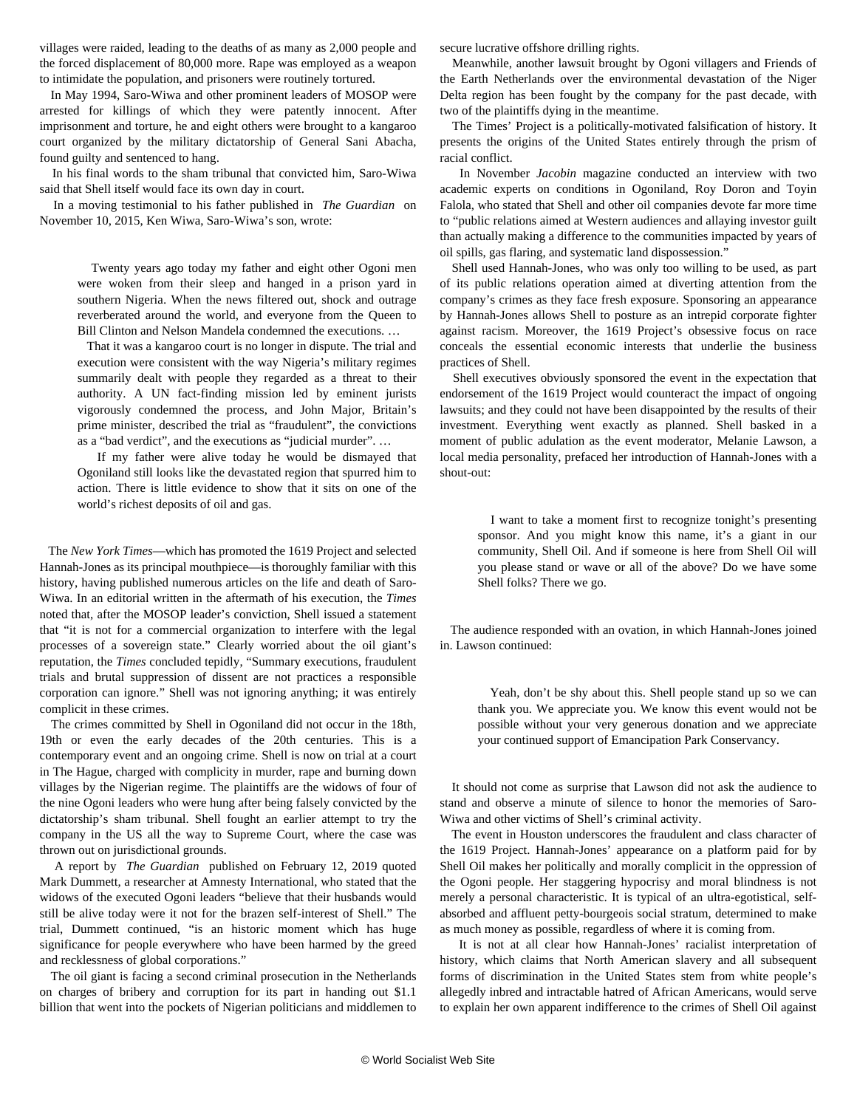villages were raided, leading to the deaths of as many as 2,000 people and the forced displacement of 80,000 more. Rape was employed as a weapon to intimidate the population, and prisoners were routinely tortured.

 In May 1994, Saro-Wiwa and other prominent leaders of MOSOP were arrested for killings of which they were patently innocent. After imprisonment and torture, he and eight others were brought to a kangaroo court organized by the military dictatorship of General Sani Abacha, found guilty and sentenced to hang.

 In his final words to the sham tribunal that convicted him, Saro-Wiwa said that Shell itself would face its own day in court.

 In a moving testimonial to his father published in *[The Guardian](https://www.theguardian.com/commentisfree/2015/nov/10/ken-saro-wiwa-father-nigeria-ogoniland-oil-pollution)* on November 10, 2015, Ken Wiwa, Saro-Wiwa's son, wrote:

 Twenty years ago today my father and eight other Ogoni men were woken from their sleep and [hanged in a prison yard in](https://www.theguardian.com/books/2005/nov/06/politics) [southern Nigeria.](https://www.theguardian.com/books/2005/nov/06/politics) When the news filtered out, shock and outrage reverberated around the world, and everyone from the Queen to Bill Clinton and Nelson Mandela condemned the executions. …

 That it was a kangaroo court is no longer in dispute. The trial and execution were consistent with the way Nigeria's military regimes summarily dealt with people they regarded as a threat to their authority. A UN fact-finding mission led by eminent jurists vigorously condemned the process, and John Major, Britain's prime minister, described the trial as "fraudulent", the convictions as a "bad verdict", and the executions as ["judicial murder](http://news.bbc.co.uk/onthisday/hi/dates/stories/november/10/newsid_2539000/2539561.stm)". …

 If my father were alive today he would be dismayed that Ogoniland still looks like the devastated region that spurred him to action. There is little evidence to show that it sits on one of the world's richest deposits of oil and gas.

 The *New York Times*—which has promoted the 1619 Project and selected Hannah-Jones as its principal mouthpiece—is thoroughly familiar with this history, having published numerous articles on the life and death of Saro-Wiwa. In an editorial written in the aftermath of his execution, the *Times* noted that, after the MOSOP leader's conviction, Shell issued a statement that "it is not for a commercial organization to interfere with the legal processes of a sovereign state." Clearly worried about the oil giant's reputation, the *Times* concluded tepidly, "Summary executions, fraudulent trials and brutal suppression of dissent are not practices a responsible corporation can ignore." Shell was not ignoring anything; it was entirely complicit in these crimes.

 The crimes committed by Shell in Ogoniland did not occur in the 18th, 19th or even the early decades of the 20th centuries. This is a contemporary event and an ongoing crime. Shell is now on trial at a court in The Hague, charged with complicity in murder, rape and burning down villages by the Nigerian regime. The plaintiffs are the widows of four of the nine Ogoni leaders who were hung after being falsely convicted by the dictatorship's sham tribunal. Shell fought an earlier attempt to try the company in the US all the way to Supreme Court, where the case was thrown out on jurisdictional grounds.

 A report by *[The Guardian](https://www.theguardian.com/global-development/2019/feb/12/ogoni-widows-testify-the-hague-shell-alleged-complicity-killings)* published on February 12, 2019 quoted Mark Dummett, a researcher at Amnesty International, who stated that the widows of the executed Ogoni leaders "believe that their husbands would still be alive today were it not for the brazen self-interest of Shell." The trial, Dummett continued, "is an historic moment which has huge significance for people everywhere who have been harmed by the greed and recklessness of global corporations."

 The oil giant is facing a second criminal prosecution in the Netherlands on charges of bribery and corruption for its part in handing out \$1.1 billion that went into the pockets of Nigerian politicians and middlemen to

secure lucrative offshore drilling rights.

 Meanwhile, another lawsuit brought by Ogoni villagers and Friends of the Earth Netherlands over the environmental devastation of the Niger Delta region has been fought by the company for the past decade, with two of the plaintiffs dying in the meantime.

 The Times' Project is a politically-motivated falsification of history. It presents the origins of the United States entirely through the prism of racial conflict.

 In November *[Jacobin](https://www.jacobinmag.com/2019/11/ken-saro-wiwa-nigeria-environment-oil-companies-ogoni)* [magazine](https://www.jacobinmag.com/2019/11/ken-saro-wiwa-nigeria-environment-oil-companies-ogoni) conducted an interview with two academic experts on conditions in Ogoniland, Roy Doron and Toyin Falola, who stated that Shell and other oil companies devote far more time to "public relations aimed at Western audiences and allaying investor guilt than actually making a difference to the communities impacted by years of oil spills, gas flaring, and systematic land dispossession."

 Shell used Hannah-Jones, who was only too willing to be used, as part of its public relations operation aimed at diverting attention from the company's crimes as they face fresh exposure. Sponsoring an appearance by Hannah-Jones allows Shell to posture as an intrepid corporate fighter against racism. Moreover, the 1619 Project's obsessive focus on race conceals the essential economic interests that underlie the business practices of Shell.

 Shell executives obviously sponsored the event in the expectation that endorsement of the 1619 Project would counteract the impact of ongoing lawsuits; and they could not have been disappointed by the results of their investment. Everything went exactly as planned. Shell basked in a moment of public adulation as the event moderator, Melanie Lawson, a local media personality, prefaced her introduction of Hannah-Jones with a shout-out:

 I want to take a moment first to recognize tonight's presenting sponsor. And you might know this name, it's a giant in our community, Shell Oil. And if someone is here from Shell Oil will you please stand or wave or all of the above? Do we have some Shell folks? There we go.

 The audience responded with an ovation, in which Hannah-Jones joined in. Lawson continued:

 Yeah, don't be shy about this. Shell people stand up so we can thank you. We appreciate you. We know this event would not be possible without your very generous donation and we appreciate your continued support of Emancipation Park Conservancy.

 It should not come as surprise that Lawson did not ask the audience to stand and observe a minute of silence to honor the memories of Saro-Wiwa and other victims of Shell's criminal activity.

 The event in Houston underscores the fraudulent and class character of the 1619 Project. Hannah-Jones' appearance on a platform paid for by Shell Oil makes her politically and morally complicit in the oppression of the Ogoni people. Her staggering hypocrisy and moral blindness is not merely a personal characteristic. It is typical of an ultra-egotistical, selfabsorbed and affluent petty-bourgeois social stratum, determined to make as much money as possible, regardless of where it is coming from.

 It is not at all clear how Hannah-Jones' racialist interpretation of history, which claims that North American slavery and all subsequent forms of discrimination in the United States stem from white people's allegedly inbred and intractable hatred of African Americans, would serve to explain her own apparent indifference to the crimes of Shell Oil against